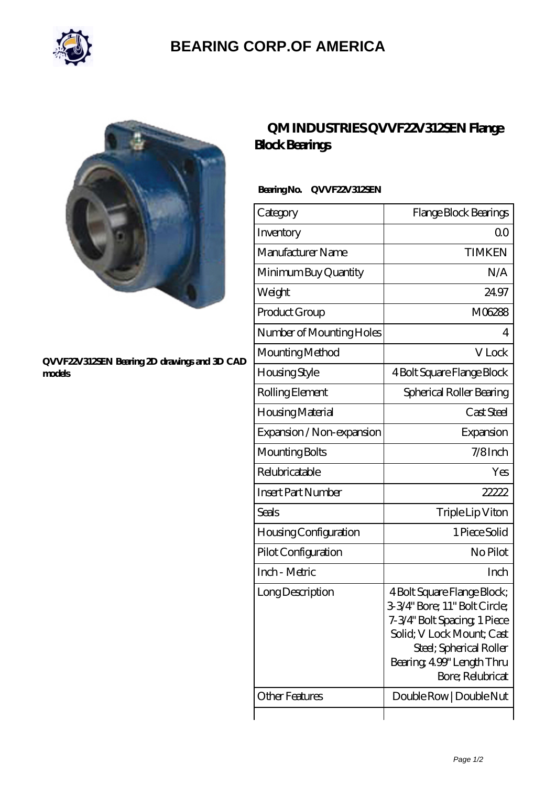

## **[BEARING CORP.OF AMERICA](https://bluemondayreview.com)**



#### **[QVVF22V312SEN Bearing 2D drawings and 3D CAD](https://bluemondayreview.com/pic-175585.html) [models](https://bluemondayreview.com/pic-175585.html)**

## **[QM INDUSTRIES QVVF22V312SEN Flange](https://bluemondayreview.com/aw-175585-qm-industries-qvvf22v312sen-flange-block-bearings.html) [Block Bearings](https://bluemondayreview.com/aw-175585-qm-industries-qvvf22v312sen-flange-block-bearings.html)**

### **Bearing No. QVVF22V312SEN**

| Category                     | Flange Block Bearings                                                                                                                                                                                 |
|------------------------------|-------------------------------------------------------------------------------------------------------------------------------------------------------------------------------------------------------|
| Inventory                    | 0 <sup>0</sup>                                                                                                                                                                                        |
| Manufacturer Name            | <b>TIMKEN</b>                                                                                                                                                                                         |
| Minimum Buy Quantity         | N/A                                                                                                                                                                                                   |
| Weight                       | 24.97                                                                                                                                                                                                 |
| Product Group                | M06288                                                                                                                                                                                                |
| Number of Mounting Holes     | 4                                                                                                                                                                                                     |
| Mounting Method              | V Lock                                                                                                                                                                                                |
| Housing Style                | 4 Bolt Square Flange Block                                                                                                                                                                            |
| Rolling Element              | Spherical Roller Bearing                                                                                                                                                                              |
| Housing Material             | Cast Steel                                                                                                                                                                                            |
| Expansion / Non-expansion    | Expansion                                                                                                                                                                                             |
| Mounting Bolts               | $7/8$ Inch                                                                                                                                                                                            |
| Relubricatable               | Yes                                                                                                                                                                                                   |
| <b>Insert Part Number</b>    | 22222                                                                                                                                                                                                 |
| Seals                        | Triple Lip Viton                                                                                                                                                                                      |
| <b>Housing Configuration</b> | 1 Piece Solid                                                                                                                                                                                         |
| Pilot Configuration          | No Pilot                                                                                                                                                                                              |
| Inch - Metric                | Inch                                                                                                                                                                                                  |
| Long Description             | 4 Bolt Square Flange Block;<br>3-3/4" Bore; 11" Bolt Circle;<br>7-3/4" Bolt Spacing, 1 Piece<br>Solid; V Lock Mount; Cast<br>Steel; Spherical Roller<br>Bearing, 499" Length Thru<br>Bore; Relubricat |
| <b>Other Features</b>        | Double Row   Double Nut                                                                                                                                                                               |
|                              |                                                                                                                                                                                                       |